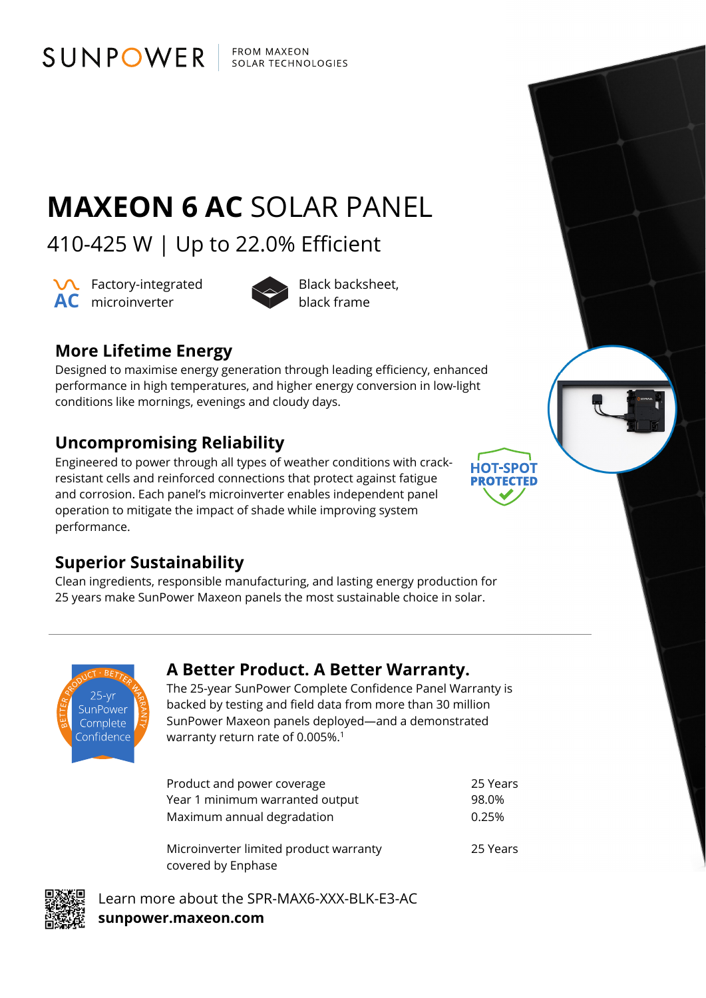**FROM MAXEON** SOLAR TECHNOLOGIES

# **MAXEON 6 AC** SOLAR PANEL

410-425 W | Up to 22.0% Efficient

**VC** Factory-integrated **AC** microinverter **AC** black frame

SUNPOWER



Black backsheet,

**HOT-SPOT PROTECTED** 

# **More Lifetime Energy**

Designed to maximise energy generation through leading efficiency, enhanced performance in high temperatures, and higher energy conversion in low-light conditions like mornings, evenings and cloudy days.

## **Uncompromising Reliability**

Engineered to power through all types of weather conditions with crackresistant cells and reinforced connections that protect against fatigue and corrosion. Each panel's microinverter enables independent panel operation to mitigate the impact of shade while improving system performance.

### **Superior Sustainability**

Clean ingredients, responsible manufacturing, and lasting energy production for 25 years make SunPower Maxeon panels the most sustainable choice in solar.



### **A Better Product. A Better Warranty.**

The 25-year SunPower Complete Confidence Panel Warranty is backed by testing and field data from more than 30 million SunPower Maxeon panels deployed—and a demonstrated warranty return rate of 0.005%.<sup>1</sup>

| Product and power coverage                                   | 25 Years |
|--------------------------------------------------------------|----------|
| Year 1 minimum warranted output                              | 98.0%    |
| Maximum annual degradation                                   | 0.25%    |
| Microinverter limited product warranty<br>covered by Enphase | 25 Years |

Learn more about the SPR-MAX6-XXX-BLK-E3-AC **sunpower.maxeon.com**